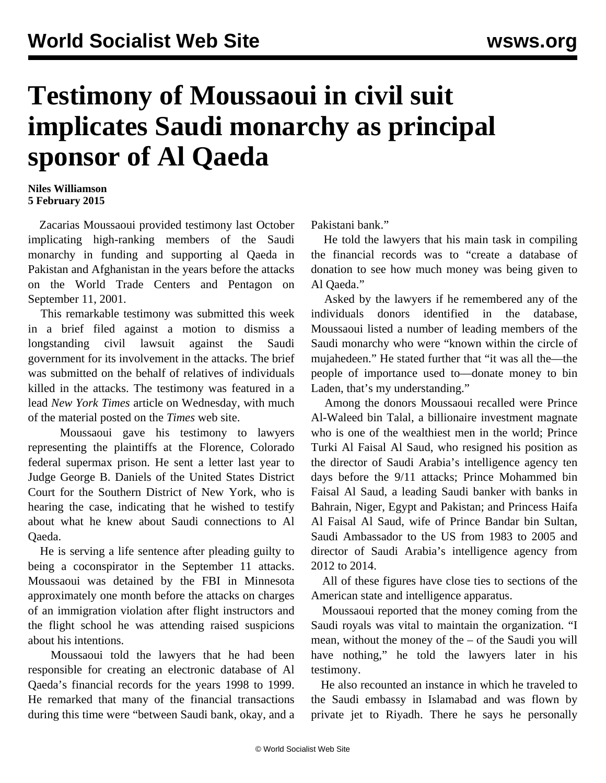## **Testimony of Moussaoui in civil suit implicates Saudi monarchy as principal sponsor of Al Qaeda**

## **Niles Williamson 5 February 2015**

 Zacarias Moussaoui provided testimony last October implicating high-ranking members of the Saudi monarchy in funding and supporting al Qaeda in Pakistan and Afghanistan in the years before the attacks on the World Trade Centers and Pentagon on September 11, 2001.

 This remarkable testimony was submitted this week in a brief filed against a motion to dismiss a longstanding civil lawsuit against the Saudi government for its involvement in the attacks. The brief was submitted on the behalf of relatives of individuals killed in the attacks. The testimony was featured in a lead *New York Times* article on Wednesday, with much of the material posted on the *Times* web site.

 Moussaoui gave his testimony to lawyers representing the plaintiffs at the Florence, Colorado federal supermax prison. He sent a letter last year to Judge George B. Daniels of the United States District Court for the Southern District of New York, who is hearing the case, indicating that he wished to testify about what he knew about Saudi connections to Al Qaeda.

 He is serving a life sentence after pleading guilty to being a coconspirator in the September 11 attacks. Moussaoui was detained by the FBI in Minnesota approximately one month before the attacks on charges of an immigration violation after flight instructors and the flight school he was attending raised suspicions about his intentions.

 Moussaoui told the lawyers that he had been responsible for creating an electronic database of Al Qaeda's financial records for the years 1998 to 1999. He remarked that many of the financial transactions during this time were "between Saudi bank, okay, and a

Pakistani bank."

 He told the lawyers that his main task in compiling the financial records was to "create a database of donation to see how much money was being given to Al Qaeda."

 Asked by the lawyers if he remembered any of the individuals donors identified in the database, Moussaoui listed a number of leading members of the Saudi monarchy who were "known within the circle of mujahedeen." He stated further that "it was all the—the people of importance used to—donate money to bin Laden, that's my understanding."

 Among the donors Moussaoui recalled were Prince Al-Waleed bin Talal, a billionaire investment magnate who is one of the wealthiest men in the world; Prince Turki Al Faisal Al Saud, who resigned his position as the director of Saudi Arabia's intelligence agency ten days before the 9/11 attacks; Prince Mohammed bin Faisal Al Saud, a leading Saudi banker with banks in Bahrain, Niger, Egypt and Pakistan; and Princess Haifa Al Faisal Al Saud, wife of Prince Bandar bin Sultan, Saudi Ambassador to the US from 1983 to 2005 and director of Saudi Arabia's intelligence agency from 2012 to 2014.

 All of these figures have close ties to sections of the American state and intelligence apparatus.

 Moussaoui reported that the money coming from the Saudi royals was vital to maintain the organization. "I mean, without the money of the – of the Saudi you will have nothing," he told the lawyers later in his testimony.

 He also recounted an instance in which he traveled to the Saudi embassy in Islamabad and was flown by private jet to Riyadh. There he says he personally